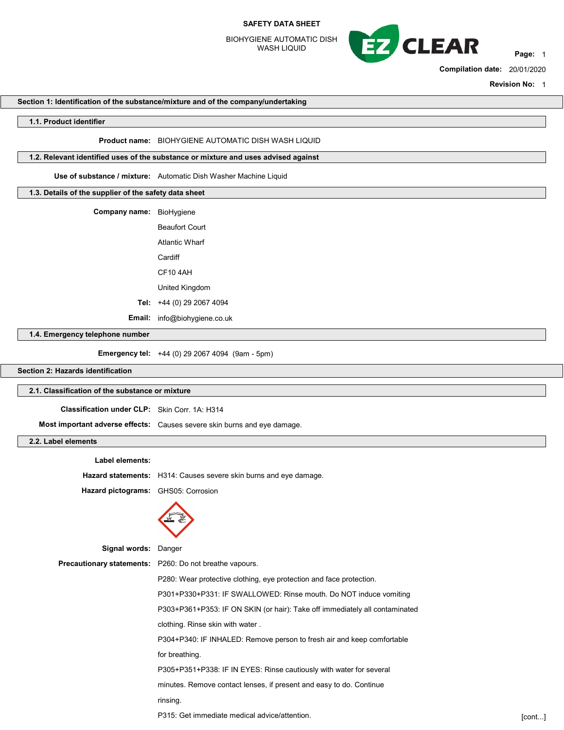BIOHYGIENE AUTOMATIC DISH WASH LIQUID



Compilation date: 20/01/2020

Revision No: 1

#### Section 1: Identification of the substance/mixture and of the company/undertaking

#### 1.1. Product identifier

#### Product name: BIOHYGIENE AUTOMATIC DISH WASH LIQUID

## 1.2. Relevant identified uses of the substance or mixture and uses advised against

Use of substance / mixture: Automatic Dish Washer Machine Liquid

## 1.3. Details of the supplier of the safety data sheet

| Company name: | BioHygiene            |
|---------------|-----------------------|
|               | <b>Beaufort Court</b> |
|               | Atlantic Wharf        |
|               | Cardiff               |
|               | <b>CF10 4AH</b>       |
|               | United Kingdom        |
| Tel:          | +44 (0) 29 2067 4094  |
|               |                       |

Email: info@biohygiene.co.uk

1.4. Emergency telephone number

Emergency tel: +44 (0) 29 2067 4094 (9am - 5pm)

# Section 2: Hazards identification

## 2.1. Classification of the substance or mixture

Classification under CLP: Skin Corr. 1A: H314

Most important adverse effects: Causes severe skin burns and eye damage.

# 2.2. Label elements

### Label elements:

Hazard statements: H314: Causes severe skin burns and eye damage.

Hazard pictograms: GHS05: Corrosion



| <b>Signal words: Danger</b> |                                                                             |        |
|-----------------------------|-----------------------------------------------------------------------------|--------|
|                             | <b>Precautionary statements:</b> P260: Do not breathe vapours.              |        |
|                             | P280: Wear protective clothing, eye protection and face protection.         |        |
|                             | P301+P330+P331: IF SWALLOWED: Rinse mouth. Do NOT induce vomiting           |        |
|                             | P303+P361+P353: IF ON SKIN (or hair): Take off immediately all contaminated |        |
|                             | clothing. Rinse skin with water.                                            |        |
|                             | P304+P340: IF INHALED: Remove person to fresh air and keep comfortable      |        |
|                             | for breathing.                                                              |        |
|                             | P305+P351+P338: IF IN EYES: Rinse cautiously with water for several         |        |
|                             | minutes. Remove contact lenses, if present and easy to do. Continue         |        |
|                             | rinsing.                                                                    |        |
|                             | P315: Get immediate medical advice/attention.                               | [cont] |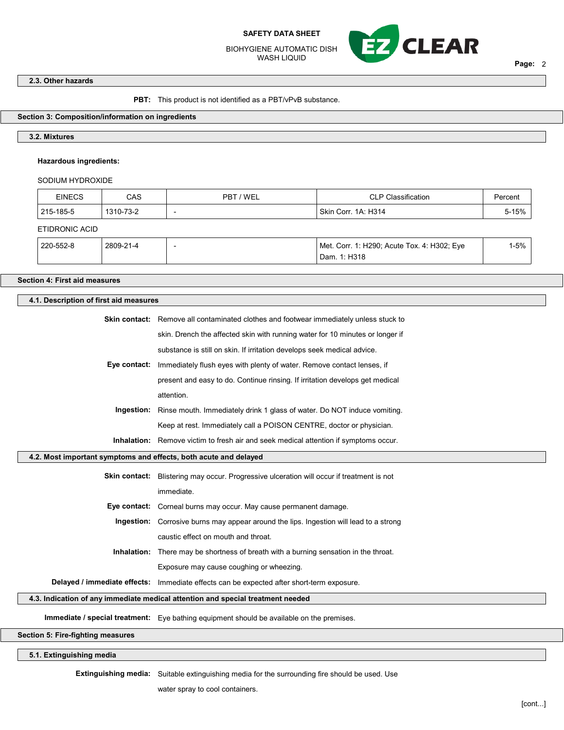BIOHYGIENE AUTOMATIC DISH WASH LIQUID



Page: 2

٦

## 2.3. Other hazards

PBT: This product is not identified as a PBT/vPvB substance.

## Section 3: Composition/information on ingredients

## 3.2. Mixtures

## Hazardous ingredients:

## SODIUM HYDROXIDE

| <b>EINECS</b>  | CAS       | PBT / WEL | <b>CLP Classification</b>                                   | Percent  |
|----------------|-----------|-----------|-------------------------------------------------------------|----------|
| 215-185-5      | 1310-73-2 | -         | Skin Corr. 1A: H314                                         | 5-15%    |
| ETIDRONIC ACID |           |           |                                                             |          |
| 220-552-8      | 2809-21-4 | -         | Met. Corr. 1: H290; Acute Tox. 4: H302; Eye<br>Dam. 1: H318 | $1 - 5%$ |

## Section 4: First aid measures

# 4.1. Description of first aid measures

|                                                                  | <b>Skin contact:</b> Remove all contaminated clothes and footwear immediately unless stuck to    |
|------------------------------------------------------------------|--------------------------------------------------------------------------------------------------|
|                                                                  | skin. Drench the affected skin with running water for 10 minutes or longer if                    |
|                                                                  | substance is still on skin. If irritation develops seek medical advice.                          |
| Eye contact:                                                     | Immediately flush eyes with plenty of water. Remove contact lenses, if                           |
|                                                                  | present and easy to do. Continue rinsing. If irritation develops get medical                     |
|                                                                  | attention.                                                                                       |
|                                                                  | <b>Ingestion:</b> Rinse mouth. Immediately drink 1 glass of water. Do NOT induce vomiting.       |
|                                                                  | Keep at rest. Immediately call a POISON CENTRE, doctor or physician.                             |
|                                                                  | <b>Inhalation:</b> Remove victim to fresh air and seek medical attention if symptoms occur.      |
| 4.2. Most important symptoms and effects, both acute and delayed |                                                                                                  |
|                                                                  | <b>Skin contact:</b> Blistering may occur. Progressive ulceration will occur if treatment is not |
|                                                                  | immediate.                                                                                       |
|                                                                  | <b>Eye contact:</b> Corneal burns may occur. May cause permanent damage.                         |
|                                                                  | <b>Ingestion:</b> Corrosive burns may appear around the lips. Ingestion will lead to a strong    |
|                                                                  | caustic effect on mouth and throat.                                                              |
|                                                                  | <b>Inhalation:</b> There may be shortness of breath with a burning sensation in the throat.      |
|                                                                  | Exposure may cause coughing or wheezing.                                                         |
|                                                                  | Delayed / immediate effects: Immediate effects can be expected after short-term exposure.        |
|                                                                  | 4.3. Indication of any immediate medical attention and special treatment needed                  |
|                                                                  |                                                                                                  |

Section 5: Fire-fighting measures

## 5.1. Extinguishing media

Extinguishing media: Suitable extinguishing media for the surrounding fire should be used. Use

water spray to cool containers.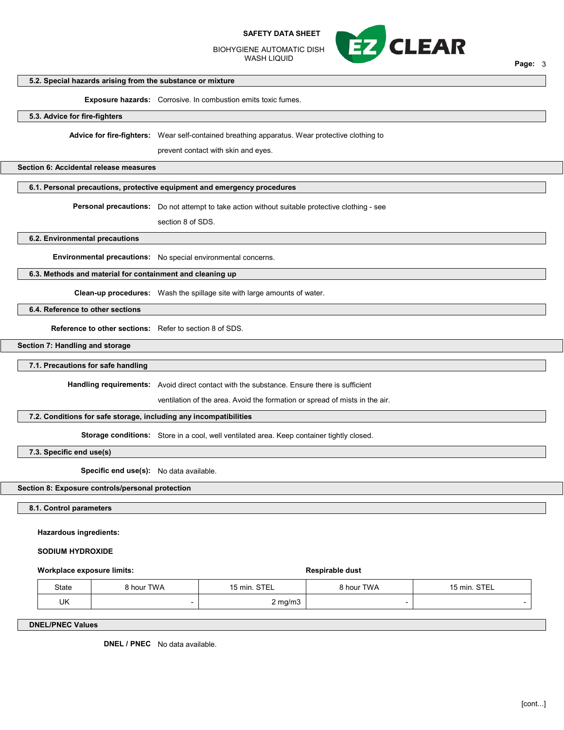BIOHYGIENE AUTOMATIC DISH WASH LIQUID



Page: 3

# 5.2. Special hazards arising from the substance or mixture

Exposure hazards: Corrosive. In combustion emits toxic fumes.

## 5.3. Advice for fire-fighters

Advice for fire-fighters: Wear self-contained breathing apparatus. Wear protective clothing to

prevent contact with skin and eyes.

#### Section 6: Accidental release measures

## 6.1. Personal precautions, protective equipment and emergency procedures

Personal precautions: Do not attempt to take action without suitable protective clothing - see

section 8 of SDS.

## 6.2. Environmental precautions

Environmental precautions: No special environmental concerns.

#### 6.3. Methods and material for containment and cleaning up

Clean-up procedures: Wash the spillage site with large amounts of water.

# 6.4. Reference to other sections

Reference to other sections: Refer to section 8 of SDS.

## Section 7: Handling and storage

## 7.1. Precautions for safe handling

Handling requirements: Avoid direct contact with the substance. Ensure there is sufficient

ventilation of the area. Avoid the formation or spread of mists in the air.

# 7.2. Conditions for safe storage, including any incompatibilities

Storage conditions: Store in a cool, well ventilated area. Keep container tightly closed.

7.3. Specific end use(s)

Specific end use(s): No data available.

## Section 8: Exposure controls/personal protection

8.1. Control parameters

#### Hazardous ingredients:

#### SODIUM HYDROXIDE

#### Workplace exposure limits:  $\blacksquare$

| State | <b>8 hour TWA</b> | 15 min. STEL     | 8 hour TWA | 15 min. STEL |
|-------|-------------------|------------------|------------|--------------|
| UK    |                   | $2 \text{ mg/m}$ |            |              |

DNEL/PNEC Values

DNEL / PNEC No data available.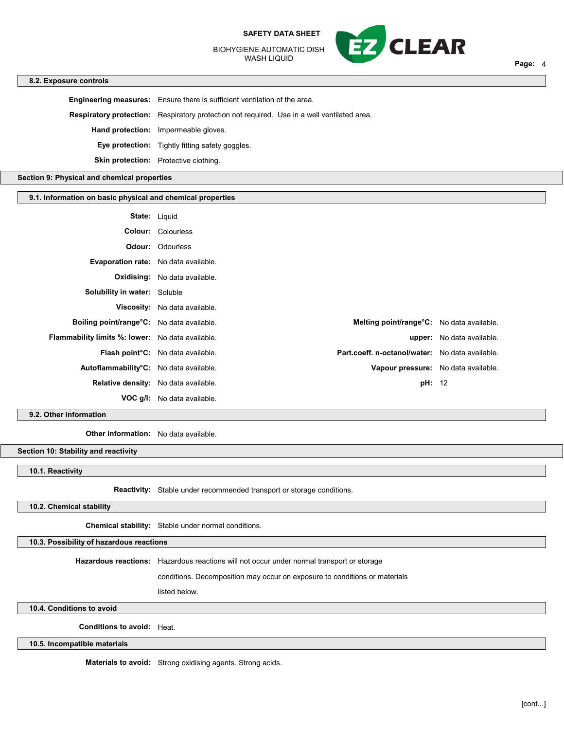BIOHYGIENE AUTOMATIC DISH WASH LIQUID



## 8.2. Exposure controls

Engineering measures: Ensure there is sufficient ventilation of the area. Respiratory protection: Respiratory protection not required. Use in a well ventilated area. Hand protection: Impermeable gloves. Eye protection: Tightly fitting safety goggles. Skin protection: Protective clothing.

Section 9: Physical and chemical properties

## 9.1. Information on basic physical and chemical properties

| <b>State:</b> Liquid                                    |                                          |                                                   |                                  |
|---------------------------------------------------------|------------------------------------------|---------------------------------------------------|----------------------------------|
|                                                         | <b>Colour:</b> Colourless                |                                                   |                                  |
|                                                         | <b>Odour: Odourless</b>                  |                                                   |                                  |
| <b>Evaporation rate:</b> No data available.             |                                          |                                                   |                                  |
|                                                         | <b>Oxidising:</b> No data available.     |                                                   |                                  |
| <b>Solubility in water:</b> Soluble                     |                                          |                                                   |                                  |
|                                                         | <b>Viscosity:</b> No data available.     |                                                   |                                  |
| Boiling point/range°C: No data available.               |                                          | <b>Melting point/range °C:</b> No data available. |                                  |
| <b>Flammability limits %: lower:</b> No data available. |                                          |                                                   | <b>upper:</b> No data available. |
|                                                         | <b>Flash point C:</b> No data available. | Part.coeff. n-octanol/water: No data available.   |                                  |
| Autoflammability°C: No data available.                  |                                          | Vapour pressure: No data available.               |                                  |
| Relative density: No data available.                    |                                          | <b>pH:</b> 12                                     |                                  |
|                                                         | <b>VOC g/l:</b> No data available.       |                                                   |                                  |

## 9.2. Other information

Other information: No data available.

Section 10: Stability and reactivity

10.1. Reactivity

Reactivity: Stable under recommended transport or storage conditions.

# 10.2. Chemical stability

Chemical stability: Stable under normal conditions.

10.3. Possibility of hazardous reactions

Hazardous reactions: Hazardous reactions will not occur under normal transport or storage

conditions. Decomposition may occur on exposure to conditions or materials

listed below.

10.4. Conditions to avoid

Conditions to avoid: Heat.

10.5. Incompatible materials

Materials to avoid: Strong oxidising agents. Strong acids.

Page: 4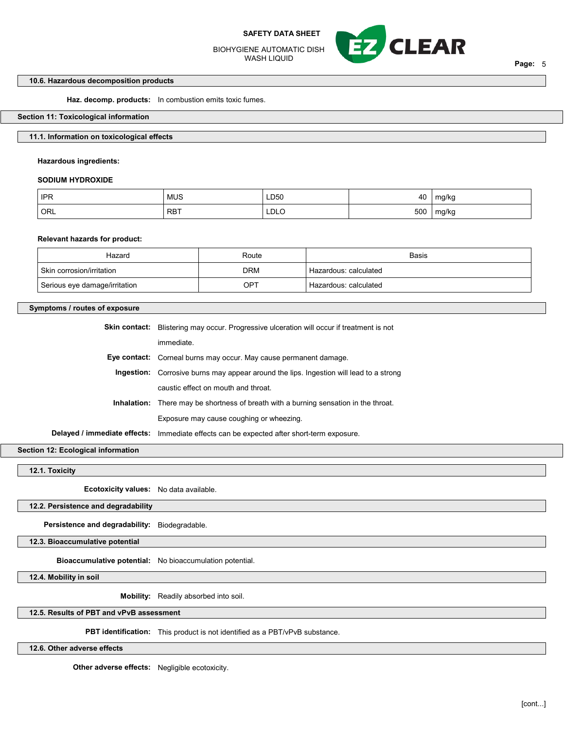BIOHYGIENE AUTOMATIC DISH WASH LIQUID



Page: 5

## 10.6. Hazardous decomposition products

Haz. decomp. products: In combustion emits toxic fumes.

## Section 11: Toxicological information

# 11.1. Information on toxicological effects

Hazardous ingredients:

#### SODIUM HYDROXIDE

| <b>IPR</b> | <b>MUS</b> | LD50<br>$\sim$ $\sim$ | 40  | ma/kc        |
|------------|------------|-----------------------|-----|--------------|
| ORL        | , RBT      | LDLC                  | 500 | ma/ko<br>. . |

## Relevant hazards for product:

| Hazard                        | Route      | Basis                              |
|-------------------------------|------------|------------------------------------|
| ∣ Skin corrosion/irritation_  | <b>DRM</b> | <sup>1</sup> Hazardous: calculated |
| Serious eye damage/irritation | OPT        | Hazardous: calculated              |

## Symptoms / routes of exposure

| <b>Skin contact:</b> Blistering may occur. Progressive ulceration will occur if treatment is not |  |
|--------------------------------------------------------------------------------------------------|--|
| immediate.                                                                                       |  |
| <b>Eye contact:</b> Corneal burns may occur. May cause permanent damage.                         |  |
| <b>Ingestion:</b> Corrosive burns may appear around the lips. Ingestion will lead to a strong    |  |
| caustic effect on mouth and throat.                                                              |  |
| <b>Inhalation:</b> There may be shortness of breath with a burning sensation in the throat.      |  |
| Exposure may cause coughing or wheezing.                                                         |  |
| Delayed / immediate effects: Immediate effects can be expected after short-term exposure.        |  |

Section 12: Ecological information

12.1. Toxicity

Ecotoxicity values: No data available.

12.2. Persistence and degradability

Persistence and degradability: Biodegradable.

12.3. Bioaccumulative potential

Bioaccumulative potential: No bioaccumulation potential.

12.4. Mobility in soil

Mobility: Readily absorbed into soil.

## 12.5. Results of PBT and vPvB assessment

PBT identification: This product is not identified as a PBT/vPvB substance.

12.6. Other adverse effects

Other adverse effects: Negligible ecotoxicity.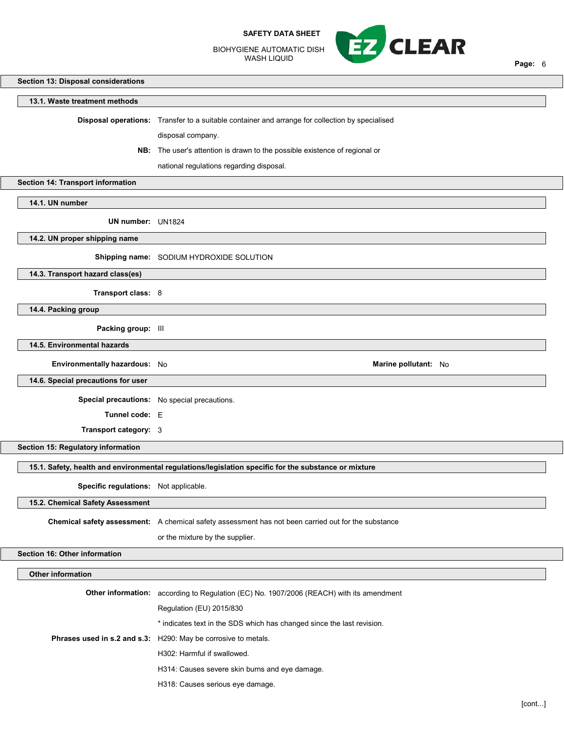BIOHYGIENE AUTOMATIC DISH WASH LIQUID



Page: 6

# Section 13: Disposal considerations

## 13.1. Waste treatment methods

Disposal operations: Transfer to a suitable container and arrange for collection by specialised

disposal company.

NB: The user's attention is drawn to the possible existence of regional or

national regulations regarding disposal.

Section 14: Transport information

14.1. UN number

UN number: UN1824

14.2. UN proper shipping name

Shipping name: SODIUM HYDROXIDE SOLUTION

14.3. Transport hazard class(es)

Transport class: 8

14.4. Packing group

Packing group: III

14.5. Environmental hazards

Environmentally hazardous: No Marine pollutant: No Marine pollutant: No

14.6. Special precautions for user

Special precautions: No special precautions.

Tunnel code: E

Transport category: 3

Section 15: Regulatory information

15.1. Safety, health and environmental regulations/legislation specific for the substance or mixture

Specific regulations: Not applicable.

15.2. Chemical Safety Assessment

Chemical safety assessment: A chemical safety assessment has not been carried out for the substance

or the mixture by the supplier.

Section 16: Other information

# Other information

| Other information: | according to Regulation (EC) No. 1907/2006 (REACH) with its amendment  |
|--------------------|------------------------------------------------------------------------|
|                    | Regulation (EU) 2015/830                                               |
|                    | * indicates text in the SDS which has changed since the last revision. |
|                    | Phrases used in s.2 and s.3: H290: May be corrosive to metals.         |
|                    | H302: Harmful if swallowed.                                            |
|                    | H314: Causes severe skin burns and eye damage.                         |
|                    | H318: Causes serious eye damage.                                       |